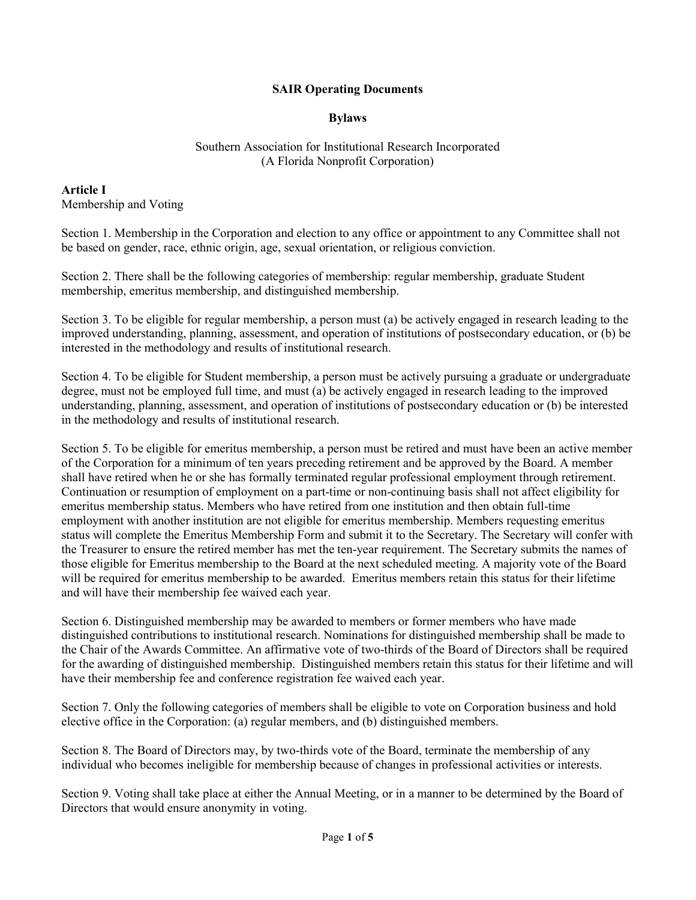### SAIR Operating Documents

#### Bylaws

#### Southern Association for Institutional Research Incorporated (A Florida Nonprofit Corporation)

Article I Membership and Voting

Section 1. Membership in the Corporation and election to any office or appointment to any Committee shall not be based on gender, race, ethnic origin, age, sexual orientation, or religious conviction.

Section 2. There shall be the following categories of membership: regular membership, graduate Student membership, emeritus membership, and distinguished membership.

Section 3. To be eligible for regular membership, a person must (a) be actively engaged in research leading to the improved understanding, planning, assessment, and operation of institutions of postsecondary education, or (b) be interested in the methodology and results of institutional research.

Section 4. To be eligible for Student membership, a person must be actively pursuing a graduate or undergraduate degree, must not be employed full time, and must (a) be actively engaged in research leading to the improved understanding, planning, assessment, and operation of institutions of postsecondary education or (b) be interested in the methodology and results of institutional research.

Section 5. To be eligible for emeritus membership, a person must be retired and must have been an active member of the Corporation for a minimum of ten years preceding retirement and be approved by the Board. A member shall have retired when he or she has formally terminated regular professional employment through retirement. Continuation or resumption of employment on a part-time or non-continuing basis shall not affect eligibility for emeritus membership status. Members who have retired from one institution and then obtain full-time employment with another institution are not eligible for emeritus membership. Members requesting emeritus status will complete the Emeritus Membership Form and submit it to the Secretary. The Secretary will confer with the Treasurer to ensure the retired member has met the ten-year requirement. The Secretary submits the names of those eligible for Emeritus membership to the Board at the next scheduled meeting. A majority vote of the Board will be required for emeritus membership to be awarded. Emeritus members retain this status for their lifetime and will have their membership fee waived each year.

Section 6. Distinguished membership may be awarded to members or former members who have made distinguished contributions to institutional research. Nominations for distinguished membership shall be made to the Chair of the Awards Committee. An affirmative vote of two-thirds of the Board of Directors shall be required for the awarding of distinguished membership. Distinguished members retain this status for their lifetime and will have their membership fee and conference registration fee waived each year.

Section 7. Only the following categories of members shall be eligible to vote on Corporation business and hold elective office in the Corporation: (a) regular members, and (b) distinguished members.

Section 8. The Board of Directors may, by two-thirds vote of the Board, terminate the membership of any individual who becomes ineligible for membership because of changes in professional activities or interests.

Section 9. Voting shall take place at either the Annual Meeting, or in a manner to be determined by the Board of Directors that would ensure anonymity in voting.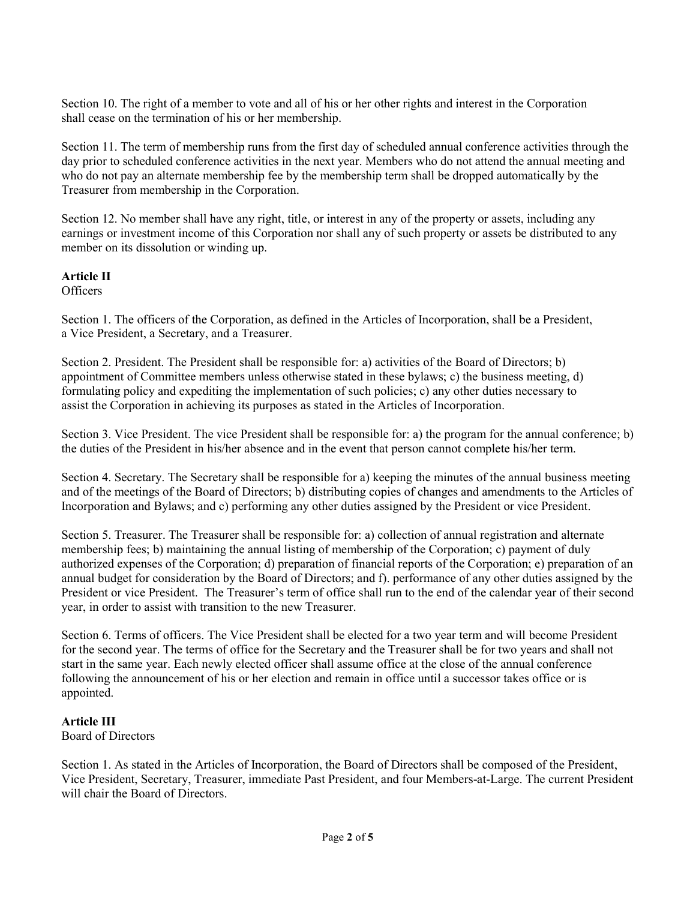Section 10. The right of a member to vote and all of his or her other rights and interest in the Corporation shall cease on the termination of his or her membership.

Section 11. The term of membership runs from the first day of scheduled annual conference activities through the day prior to scheduled conference activities in the next year. Members who do not attend the annual meeting and who do not pay an alternate membership fee by the membership term shall be dropped automatically by the Treasurer from membership in the Corporation.

Section 12. No member shall have any right, title, or interest in any of the property or assets, including any earnings or investment income of this Corporation nor shall any of such property or assets be distributed to any member on its dissolution or winding up.

#### Article II

**Officers** 

Section 1. The officers of the Corporation, as defined in the Articles of Incorporation, shall be a President, a Vice President, a Secretary, and a Treasurer.

Section 2. President. The President shall be responsible for: a) activities of the Board of Directors; b) appointment of Committee members unless otherwise stated in these bylaws; c) the business meeting, d) formulating policy and expediting the implementation of such policies; c) any other duties necessary to assist the Corporation in achieving its purposes as stated in the Articles of Incorporation.

Section 3. Vice President. The vice President shall be responsible for: a) the program for the annual conference; b) the duties of the President in his/her absence and in the event that person cannot complete his/her term.

Section 4. Secretary. The Secretary shall be responsible for a) keeping the minutes of the annual business meeting and of the meetings of the Board of Directors; b) distributing copies of changes and amendments to the Articles of Incorporation and Bylaws; and c) performing any other duties assigned by the President or vice President.

Section 5. Treasurer. The Treasurer shall be responsible for: a) collection of annual registration and alternate membership fees; b) maintaining the annual listing of membership of the Corporation; c) payment of duly authorized expenses of the Corporation; d) preparation of financial reports of the Corporation; e) preparation of an annual budget for consideration by the Board of Directors; and f). performance of any other duties assigned by the President or vice President. The Treasurer's term of office shall run to the end of the calendar year of their second year, in order to assist with transition to the new Treasurer.

Section 6. Terms of officers. The Vice President shall be elected for a two year term and will become President for the second year. The terms of office for the Secretary and the Treasurer shall be for two years and shall not start in the same year. Each newly elected officer shall assume office at the close of the annual conference following the announcement of his or her election and remain in office until a successor takes office or is appointed.

# Article III

Board of Directors

Section 1. As stated in the Articles of Incorporation, the Board of Directors shall be composed of the President, Vice President, Secretary, Treasurer, immediate Past President, and four Members-at-Large. The current President will chair the Board of Directors.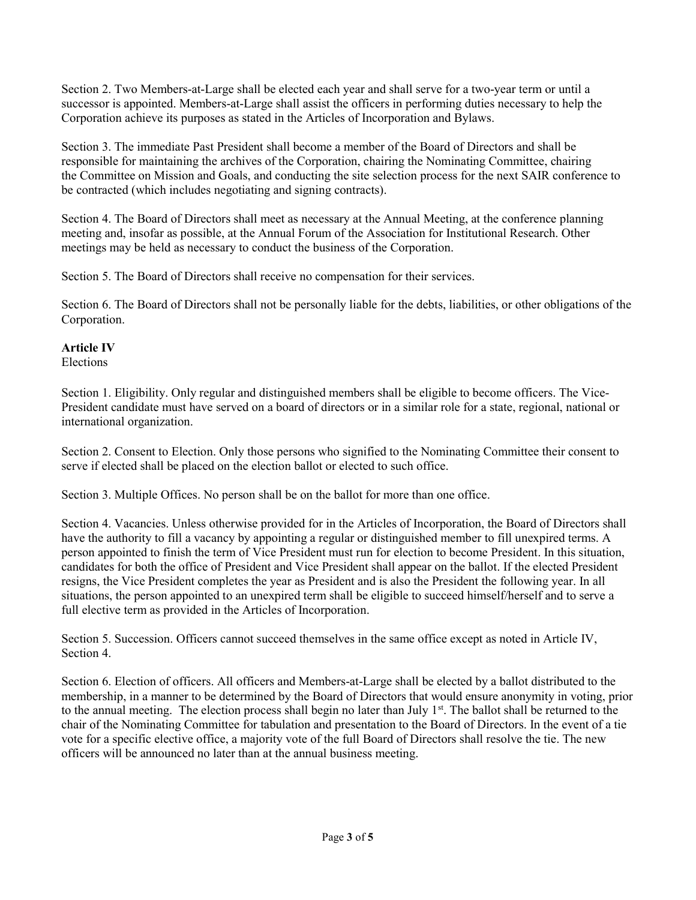Section 2. Two Members-at-Large shall be elected each year and shall serve for a two-year term or until a successor is appointed. Members-at-Large shall assist the officers in performing duties necessary to help the Corporation achieve its purposes as stated in the Articles of Incorporation and Bylaws.

Section 3. The immediate Past President shall become a member of the Board of Directors and shall be responsible for maintaining the archives of the Corporation, chairing the Nominating Committee, chairing the Committee on Mission and Goals, and conducting the site selection process for the next SAIR conference to be contracted (which includes negotiating and signing contracts).

Section 4. The Board of Directors shall meet as necessary at the Annual Meeting, at the conference planning meeting and, insofar as possible, at the Annual Forum of the Association for Institutional Research. Other meetings may be held as necessary to conduct the business of the Corporation.

Section 5. The Board of Directors shall receive no compensation for their services.

Section 6. The Board of Directors shall not be personally liable for the debts, liabilities, or other obligations of the Corporation.

#### Article IV

Elections

Section 1. Eligibility. Only regular and distinguished members shall be eligible to become officers. The Vice-President candidate must have served on a board of directors or in a similar role for a state, regional, national or international organization.

Section 2. Consent to Election. Only those persons who signified to the Nominating Committee their consent to serve if elected shall be placed on the election ballot or elected to such office.

Section 3. Multiple Offices. No person shall be on the ballot for more than one office.

Section 4. Vacancies. Unless otherwise provided for in the Articles of Incorporation, the Board of Directors shall have the authority to fill a vacancy by appointing a regular or distinguished member to fill unexpired terms. A person appointed to finish the term of Vice President must run for election to become President. In this situation, candidates for both the office of President and Vice President shall appear on the ballot. If the elected President resigns, the Vice President completes the year as President and is also the President the following year. In all situations, the person appointed to an unexpired term shall be eligible to succeed himself/herself and to serve a full elective term as provided in the Articles of Incorporation.

Section 5. Succession. Officers cannot succeed themselves in the same office except as noted in Article IV, Section 4.

Section 6. Election of officers. All officers and Members-at-Large shall be elected by a ballot distributed to the membership, in a manner to be determined by the Board of Directors that would ensure anonymity in voting, prior to the annual meeting. The election process shall begin no later than July 1<sup>st</sup>. The ballot shall be returned to the chair of the Nominating Committee for tabulation and presentation to the Board of Directors. In the event of a tie vote for a specific elective office, a majority vote of the full Board of Directors shall resolve the tie. The new officers will be announced no later than at the annual business meeting.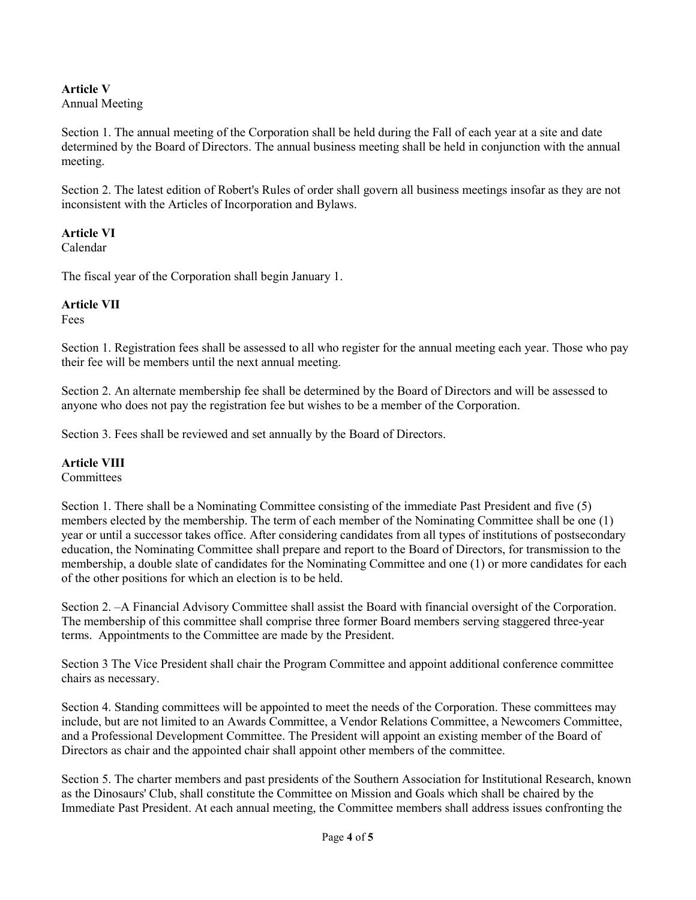# Article V

Annual Meeting

Section 1. The annual meeting of the Corporation shall be held during the Fall of each year at a site and date determined by the Board of Directors. The annual business meeting shall be held in conjunction with the annual meeting.

Section 2. The latest edition of Robert's Rules of order shall govern all business meetings insofar as they are not inconsistent with the Articles of Incorporation and Bylaws.

## Article VI

Calendar

The fiscal year of the Corporation shall begin January 1.

## Article VII

Fees

Section 1. Registration fees shall be assessed to all who register for the annual meeting each year. Those who pay their fee will be members until the next annual meeting.

Section 2. An alternate membership fee shall be determined by the Board of Directors and will be assessed to anyone who does not pay the registration fee but wishes to be a member of the Corporation.

Section 3. Fees shall be reviewed and set annually by the Board of Directors.

# Article VIII

**Committees** 

Section 1. There shall be a Nominating Committee consisting of the immediate Past President and five (5) members elected by the membership. The term of each member of the Nominating Committee shall be one (1) year or until a successor takes office. After considering candidates from all types of institutions of postsecondary education, the Nominating Committee shall prepare and report to the Board of Directors, for transmission to the membership, a double slate of candidates for the Nominating Committee and one (1) or more candidates for each of the other positions for which an election is to be held.

Section 2. –A Financial Advisory Committee shall assist the Board with financial oversight of the Corporation. The membership of this committee shall comprise three former Board members serving staggered three-year terms. Appointments to the Committee are made by the President.

Section 3 The Vice President shall chair the Program Committee and appoint additional conference committee chairs as necessary.

Section 4. Standing committees will be appointed to meet the needs of the Corporation. These committees may include, but are not limited to an Awards Committee, a Vendor Relations Committee, a Newcomers Committee, and a Professional Development Committee. The President will appoint an existing member of the Board of Directors as chair and the appointed chair shall appoint other members of the committee.

Section 5. The charter members and past presidents of the Southern Association for Institutional Research, known as the Dinosaurs' Club, shall constitute the Committee on Mission and Goals which shall be chaired by the Immediate Past President. At each annual meeting, the Committee members shall address issues confronting the